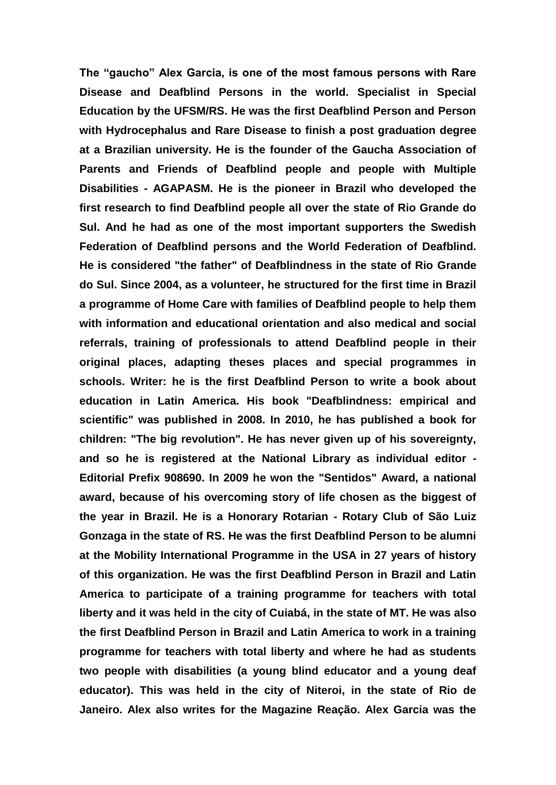**The "gaucho" Alex Garcia, is one of the most famous persons with Rare Disease and Deafblind Persons in the world. Specialist in Special Education by the UFSM/RS. He was the first Deafblind Person and Person with Hydrocephalus and Rare Disease to finish a post graduation degree at a Brazilian university. He is the founder of the Gaucha Association of Parents and Friends of Deafblind people and people with Multiple Disabilities - AGAPASM. He is the pioneer in Brazil who developed the first research to find Deafblind people all over the state of Rio Grande do Sul. And he had as one of the most important supporters the Swedish Federation of Deafblind persons and the World Federation of Deafblind. He is considered "the father" of Deafblindness in the state of Rio Grande do Sul. Since 2004, as a volunteer, he structured for the first time in Brazil a programme of Home Care with families of Deafblind people to help them with information and educational orientation and also medical and social referrals, training of professionals to attend Deafblind people in their original places, adapting theses places and special programmes in schools. Writer: he is the first Deafblind Person to write a book about education in Latin America. His book "Deafblindness: empirical and scientific" was published in 2008. In 2010, he has published a book for children: "The big revolution". He has never given up of his sovereignty, and so he is registered at the National Library as individual editor - Editorial Prefix 908690. In 2009 he won the "Sentidos" Award, a national award, because of his overcoming story of life chosen as the biggest of the year in Brazil. He is a Honorary Rotarian - Rotary Club of São Luiz Gonzaga in the state of RS. He was the first Deafblind Person to be alumni at the Mobility International Programme in the USA in 27 years of history of this organization. He was the first Deafblind Person in Brazil and Latin America to participate of a training programme for teachers with total liberty and it was held in the city of Cuiabá, in the state of MT. He was also the first Deafblind Person in Brazil and Latin America to work in a training programme for teachers with total liberty and where he had as students two people with disabilities (a young blind educator and a young deaf educator). This was held in the city of Niteroi, in the state of Rio de Janeiro. Alex also writes for the Magazine Reação. Alex Garcia was the**